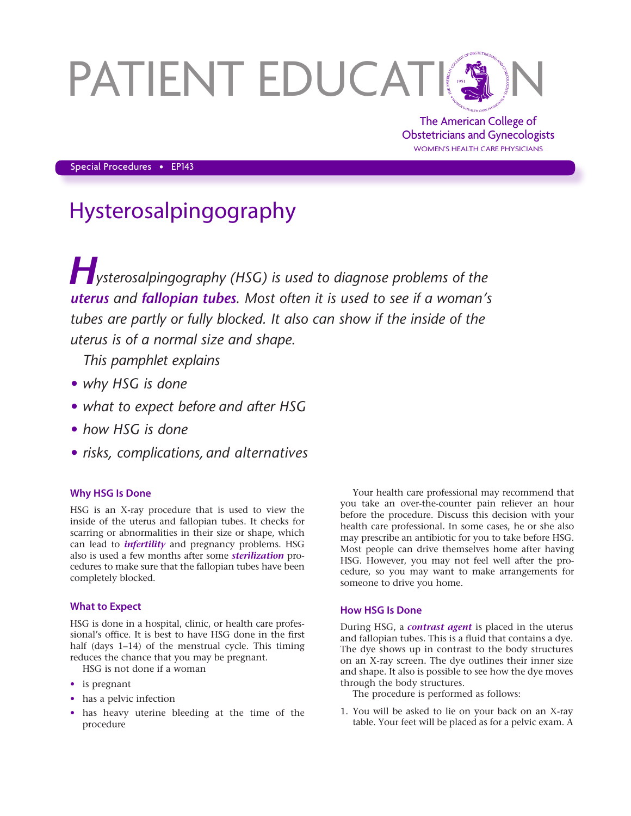# PATIENT EDUCATIN

The American College of Obstetricians and Gynecologists WOMEN'S HEALTH CARE PHYSICIANS

Special Procedures • EP143

# Hysterosalpingography

*Hysterosalpingography (HSG) is used to diagnose problems of the uterus and fallopian tubes. Most often it is used to see if a woman's tubes are partly or fully blocked. It also can show if the inside of the uterus is of a normal size and shape.*

*This pamphlet explains*

- *• why HSG is done*
- *• what to expect before and after HSG*
- *• how HSG is done*
- *• risks, complications, and alternatives*

# **Why HSG Is Done**

HSG is an X-ray procedure that is used to view the inside of the uterus and fallopian tubes. It checks for scarring or abnormalities in their size or shape, which can lead to *infertility* and pregnancy problems. HSG also is used a few months after some *sterilization* procedures to make sure that the fallopian tubes have been completely blocked.

# **What to Expect**

HSG is done in a hospital, clinic, or health care professional's office. It is best to have HSG done in the first half (days 1-14) of the menstrual cycle. This timing reduces the chance that you may be pregnant.

HSG is not done if a woman

- is pregnant
- has a pelvic infection
- has heavy uterine bleeding at the time of the procedure

Your health care professional may recommend that you take an over-the-counter pain reliever an hour before the procedure. Discuss this decision with your health care professional. In some cases, he or she also may prescribe an antibiotic for you to take before HSG. Most people can drive themselves home after having HSG. However, you may not feel well after the procedure, so you may want to make arrangements for someone to drive you home.

# **How HSG Is Done**

During HSG, a *contrast agent* is placed in the uterus and fallopian tubes. This is a fluid that contains a dye. The dye shows up in contrast to the body structures on an X-ray screen. The dye outlines their inner size and shape. It also is possible to see how the dye moves through the body structures.

The procedure is performed as follows:

1. You will be asked to lie on your back on an X-ray table. Your feet will be placed as for a pelvic exam. A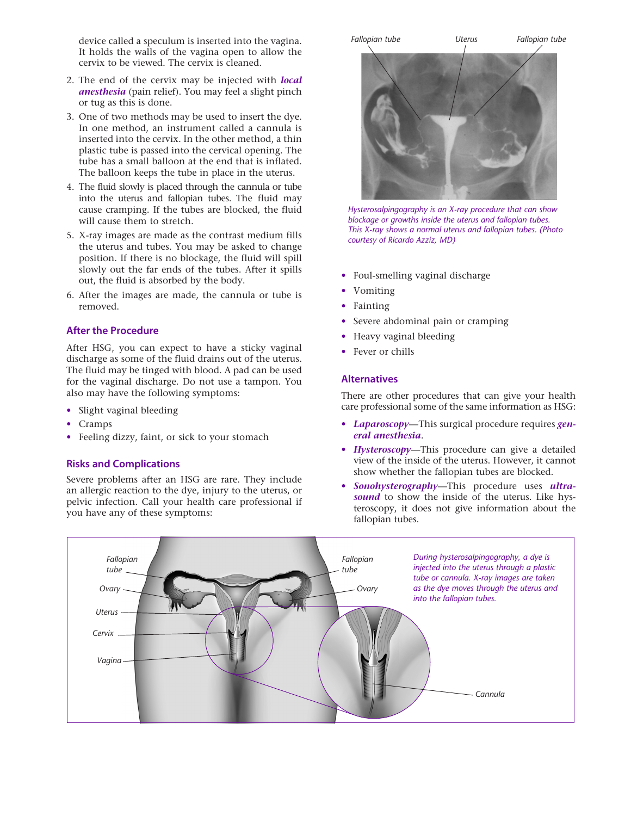device called a speculum is inserted into the vagina. It holds the walls of the vagina open to allow the cervix to be viewed. The cervix is cleaned.

- 2. The end of the cervix may be injected with *local anesthesia* (pain relief). You may feel a slight pinch or tug as this is done.
- 3. One of two methods may be used to insert the dye. In one method, an instrument called a cannula is inserted into the cervix. In the other method, a thin plastic tube is passed into the cervical opening. The tube has a small balloon at the end that is inflated. The balloon keeps the tube in place in the uterus.
- 4. The fluid slowly is placed through the cannula or tube into the uterus and fallopian tubes. The fluid may cause cramping. If the tubes are blocked, the fluid will cause them to stretch.
- 5. X-ray images are made as the contrast medium fills the uterus and tubes. You may be asked to change position. If there is no blockage, the fluid will spill slowly out the far ends of the tubes. After it spills out, the fluid is absorbed by the body.
- 6. After the images are made, the cannula or tube is removed.

#### **After the Procedure**

After HSG, you can expect to have a sticky vaginal discharge as some of the fluid drains out of the uterus. The fluid may be tinged with blood. A pad can be used for the vaginal discharge. Do not use a tampon. You also may have the following symptoms:

- Slight vaginal bleeding
- Cramps
- Feeling dizzy, faint, or sick to your stomach

#### **Risks and Complications**

Severe problems after an HSG are rare. They include an allergic reaction to the dye, injury to the uterus, or pelvic infection. Call your health care professional if you have any of these symptoms:



*Hysterosalpingography is an X-ray procedure that can show blockage or growths inside the uterus and fallopian tubes. This X-ray shows a normal uterus and fallopian tubes. (Photo courtesy of Ricardo Azziz, MD)*

- Foul-smelling vaginal discharge
- Vomiting
- **Fainting**
- Severe abdominal pain or cramping
- Heavy vaginal bleeding
- Fever or chills

#### **Alternatives**

There are other procedures that can give your health care professional some of the same information as HSG:

- *Laparoscopy*—This surgical procedure requires *general anesthesia*.
- *Hysteroscopy*—This procedure can give a detailed view of the inside of the uterus. However, it cannot show whether the fallopian tubes are blocked.
- *Sonohysterography*—This procedure uses *ultrasound* to show the inside of the uterus. Like hysteroscopy, it does not give information about the fallopian tubes.